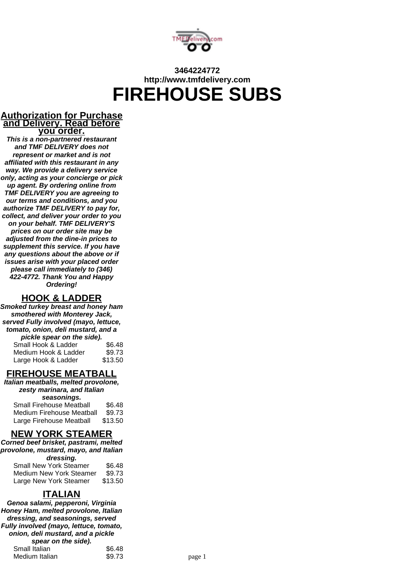

# **3464224772 http://www.tmfdelivery.com FIREHOUSE SUBS**

#### **Authorization for Purchase and Delivery. Read before you order.**

**This is a non-partnered restaurant and TMF DELIVERY does not represent or market and is not affiliated with this restaurant in any way. We provide a delivery service only, acting as your concierge or pick up agent. By ordering online from TMF DELIVERY you are agreeing to our terms and conditions, and you authorize TMF DELIVERY to pay for, collect, and deliver your order to you on your behalf. TMF DELIVERY'S prices on our order site may be adjusted from the dine-in prices to supplement this service. If you have any questions about the above or if issues arise with your placed order please call immediately to (346) 422-4772. Thank You and Happy Ordering!**

### **HOOK & LADDER**

**Smoked turkey breast and honey ham smothered with Monterey Jack, served Fully involved (mayo, lettuce, tomato, onion, deli mustard, and a pickle spear on the side).** Small Hook & Ladder \$6.48

| <b>SHIGH HUUK &amp; LAUUEI</b> | JU.40   |
|--------------------------------|---------|
| Medium Hook & Ladder           | \$9.73  |
| Large Hook & Ladder            | \$13.50 |

### **FIREHOUSE MEATBALL**

**Italian meatballs, melted provolone, zesty marinara, and Italian seasonings.**

| Small Firehouse Meatball  | \$6.48  |
|---------------------------|---------|
| Medium Firehouse Meatball | \$9.73  |
| Large Firehouse Meatball  | \$13.50 |

### **NEW YORK STEAMER**

**Corned beef brisket, pastrami, melted provolone, mustard, mayo, and Italian dressing.**

| urvoomg.                      |         |
|-------------------------------|---------|
| <b>Small New York Steamer</b> | \$6.48  |
| Medium New York Steamer       | \$9.73  |
| Large New York Steamer        | \$13.50 |

### **ITALIAN**

**Genoa salami, pepperoni, Virginia Honey Ham, melted provolone, Italian dressing, and seasonings, served Fully involved (mayo, lettuce, tomato, onion, deli mustard, and a pickle spear on the side).** Small Italian \$6.48 Medium Italian  $$9.73$  page 1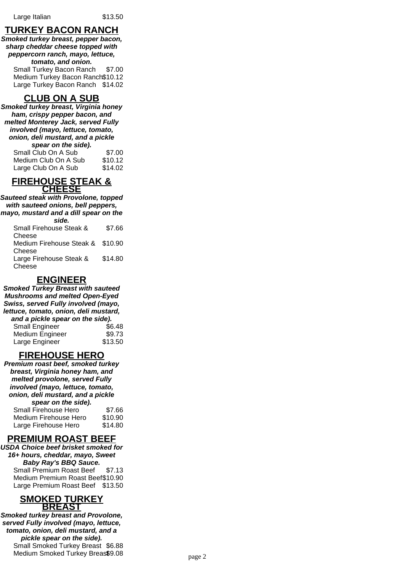### **TURKEY BACON RANCH**

**Smoked turkey breast, pepper bacon, sharp cheddar cheese topped with peppercorn ranch, mayo, lettuce, tomato, and onion.**

Small Turkey Bacon Ranch \$7.00 Medium Turkey Bacon Ranch\$10.12 Large Turkey Bacon Ranch \$14.02

### **CLUB ON A SUB**

**Smoked turkey breast, Virginia honey ham, crispy pepper bacon, and melted Monterey Jack, served Fully involved (mayo, lettuce, tomato, onion, deli mustard, and a pickle spear on the side).**

| $\sigma$ $\mu$       |         |
|----------------------|---------|
| Small Club On A Sub  | \$7.00  |
| Medium Club On A Sub | \$10.12 |
| Large Club On A Sub  | \$14.02 |

#### **FIREHOUSE STEAK & CHEESE**

**Sauteed steak with Provolone, topped with sauteed onions, bell peppers, mayo, mustard and a dill spear on the**

| side.                            |         |
|----------------------------------|---------|
| Small Firehouse Steak &          | \$7.66  |
| Cheese                           |         |
| Medium Firehouse Steak & \$10.90 |         |
| Cheese                           |         |
| Large Firehouse Steak &          | \$14.80 |
| Cheese                           |         |

#### **ENGINEER**

**Smoked Turkey Breast with sauteed Mushrooms and melted Open-Eyed Swiss, served Fully involved (mayo, lettuce, tomato, onion, deli mustard, and a pickle spear on the side).** Small Engineer \$6.48 Medium Engineer \$9.73 Large Engineer \$13.50

### **FIREHOUSE HERO**

**Premium roast beef, smoked turkey breast, Virginia honey ham, and melted provolone, served Fully involved (mayo, lettuce, tomato, onion, deli mustard, and a pickle spear on the side).**

| Small Firehouse Hero  | \$7.66  |
|-----------------------|---------|
| Medium Firehouse Hero | \$10.90 |
| Large Firehouse Hero  | \$14.80 |

#### **PREMIUM ROAST BEEF**

**USDA Choice beef brisket smoked for 16+ hours, cheddar, mayo, Sweet Baby Ray's BBQ Sauce.** Small Premium Roast Beef \$7.13 Medium Premium Roast Beef\$10.90 Large Premium Roast Beef \$13.50

#### **SMOKED TURKEY BREAST**

**Smoked turkey breast and Provolone, served Fully involved (mayo, lettuce, tomato, onion, deli mustard, and a pickle spear on the side).** Small Smoked Turkey Breast \$6.88 Medium Smoked Turkey Breas\$9.08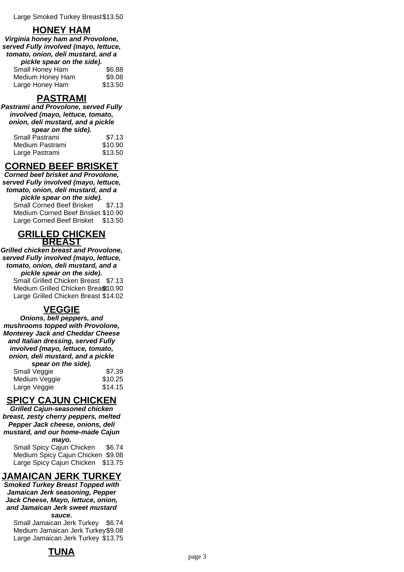### **HONEY HAM**

**Virginia honey ham and Provolone, served Fully involved (mayo, lettuce, tomato, onion, deli mustard, and a pickle spear on the side).**

| Small Honey Ham  | \$6.88  |
|------------------|---------|
| Medium Honey Ham | \$9.08  |
| Large Honey Ham  | \$13.50 |

### **PASTRAMI**

**Pastrami and Provolone, served Fully involved (mayo, lettuce, tomato, onion, deli mustard, and a pickle spear on the side).**

| Small Pastrami  | \$7.13  |
|-----------------|---------|
| Medium Pastrami | \$10.90 |
| Large Pastrami  | \$13.50 |

## **CORNED BEEF BRISKET**

**Corned beef brisket and Provolone, served Fully involved (mayo, lettuce, tomato, onion, deli mustard, and a pickle spear on the side).** Small Corned Beef Brisket \$7.13

Medium Corned Beef Brisket \$10.90 Large Corned Beef Brisket \$13.50

#### **GRILLED CHICKEN BREAST**

**Grilled chicken breast and Provolone, served Fully involved (mayo, lettuce, tomato, onion, deli mustard, and a pickle spear on the side).** Small Grilled Chicken Breast \$7.13 Medium Grilled Chicken Brea\$10.90 Large Grilled Chicken Breast \$14.02

### **VEGGIE**

**Onions, bell peppers, and mushrooms topped with Provolone, Monterey Jack and Cheddar Cheese and Italian dressing, served Fully involved (mayo, lettuce, tomato, onion, deli mustard, and a pickle spear on the side).** Small Veggie **\$7.39** Medium Veggie **\$10.25** Large Veggie **\$14.15** 

### **SPICY CAJUN CHICKEN**

**Grilled Cajun-seasoned chicken breast, zesty cherry peppers, melted Pepper Jack cheese, onions, deli mustard, and our home-made Cajun**

**mayo.** Small Spicy Cajun Chicken \$6.74 Medium Spicy Cajun Chicken \$9.08 Large Spicy Cajun Chicken \$13.75

## **JAMAICAN JERK TURKEY**

**Smoked Turkey Breast Topped with Jamaican Jerk seasoning, Pepper Jack Cheese, Mayo, lettuce, onion, and Jamaican Jerk sweet mustard sauce.**

Small Jamaican Jerk Turkey \$6.74 Medium Jamaican Jerk Turkey\$9.08 Large Jamaican Jerk Turkey \$13.75

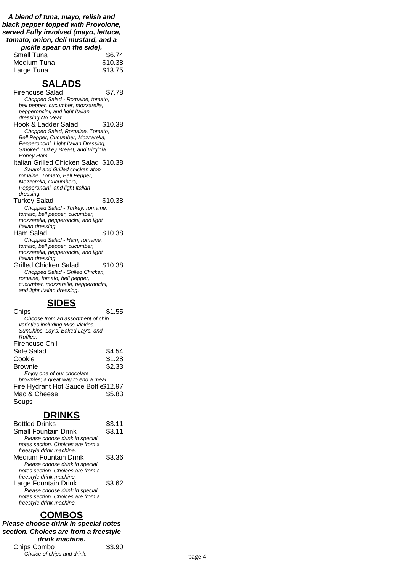**A blend of tuna, mayo, relish and black pepper topped with Provolone, served Fully involved (mayo, lettuce, tomato, onion, deli mustard, and a pickle spear on the side).**

| plus spear on the side. |         |
|-------------------------|---------|
| <b>Small Tuna</b>       | \$6.74  |
| Medium Tuna             | \$10.38 |
| Large Tuna              | \$13.75 |

### **SALADS**

Firehouse Salad \$7.78 Chopped Salad - Romaine, tomato, bell pepper, cucumber, mozzarella, pepperoncini, and light Italian dressing No Meat. Hook & Ladder Salad \$10.38 Chopped Salad, Romaine, Tomato, Bell Pepper, Cucumber, Mozzarella, Pepperoncini, Light Italian Dressing, Smoked Turkey Breast, and Virginia Honey Ham. Italian Grilled Chicken Salad \$10.38 Salami and Grilled chicken atop romaine, Tomato, Bell Pepper, Mozzarella, Cucumbers, Pepperoncini, and light Italian dressing. Turkey Salad \$10.38 Chopped Salad - Turkey, romaine, tomato, bell pepper, cucumber, mozzarella, pepperoncini, and light Italian dressing. Ham Salad \$10.38 Chopped Salad - Ham, romaine, tomato, bell pepper, cucumber, mozzarella, pepperoncini, and light Italian dressing. Grilled Chicken Salad \$10.38 Chopped Salad - Grilled Chicken, romaine, tomato, bell pepper, cucumber, mozzarella, pepperoncini, and light Italian dressing.

### **SIDES**

| Chips                                | \$1.55 |
|--------------------------------------|--------|
| Choose from an assortment of chip    |        |
| varieties including Miss Vickies,    |        |
| SunChips, Lay's, Baked Lay's, and    |        |
| Ruffles.                             |        |
| Firehouse Chili                      |        |
| Side Salad                           | \$4.54 |
| Cookie                               | \$1.28 |
| Brownie                              | \$2.33 |
| Enjoy one of our chocolate           |        |
| brownies; a great way to end a meal. |        |
| Fire Hydrant Hot Sauce Bottle\$12.97 |        |
| Mac & Cheese                         | \$5.83 |
| Soups                                |        |

### **DRINKS**

| <b>Bottled Drinks</b>             | \$3.11 |
|-----------------------------------|--------|
| <b>Small Fountain Drink</b>       | \$3.11 |
| Please choose drink in special    |        |
| notes section. Choices are from a |        |
| freestyle drink machine.          |        |
| Medium Fountain Drink             | \$3.36 |
| Please choose drink in special    |        |
| notes section. Choices are from a |        |
| freestyle drink machine.          |        |
| Large Fountain Drink              | \$3.62 |
| Please choose drink in special    |        |
| notes section. Choices are from a |        |
| freestyle drink machine.          |        |

### **COMBOS**

**Please choose drink in special notes section. Choices are from a freestyle drink machine.** Chips Combo \$3.90 Provide of chips and drink.<br>
page 4